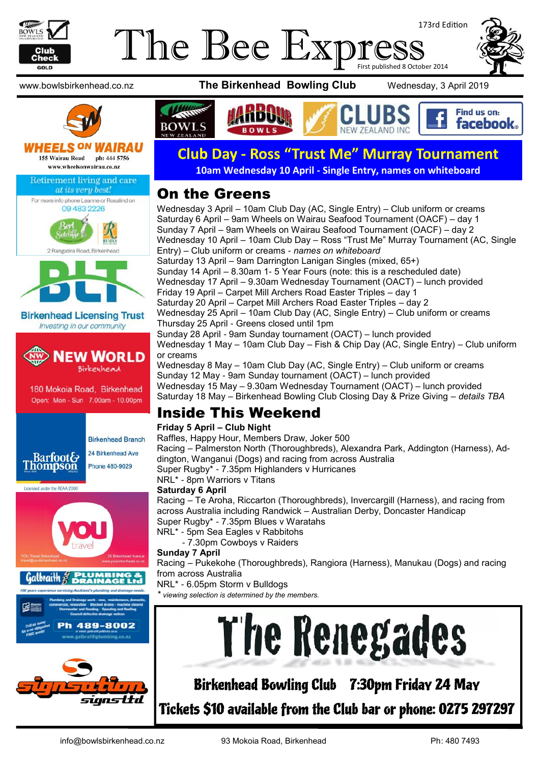

# 173rd Edition The Bee Express

www.bowlsbirkenhead.co.nz **The Birkenhead Bowling Club** Wednesday, 3 April 2019



#### **WHEELS ON W** 155 Wairau Road ph: 444 5756

www.wheelsonwairau.co.nz

Retirement living and care





#### **Birkenhead Licensing Trust** Investing in our community



180 Mokoia Road, Birkenhead Open: Mon - Sun 7.00am - 10.00pm



**Birkenhead Branch** 24 Birkenhead Ave

Licensed under the REAA 2008



# **Club Day - Ross "Trust Me" Murray Tournament 10am Wednesday 10 April - Single Entry, names on whiteboard**

NFW 7FAI AND INC

Find us on: facebook.

#### On the Greens

**BOWLS** 

Wednesday 3 April – 10am Club Day (AC, Single Entry) – Club uniform or creams Saturday 6 April – 9am Wheels on Wairau Seafood Tournament (OACF) – day 1 Sunday 7 April – 9am Wheels on Wairau Seafood Tournament (OACF) – day 2 Wednesday 10 April – 10am Club Day – Ross "Trust Me" Murray Tournament (AC, Single Entry) – Club uniform or creams - *names on whiteboard* Saturday 13 April – 9am Darrington Lanigan Singles (mixed, 65+) Sunday 14 April – 8.30am 1- 5 Year Fours (note: this is a rescheduled date) Wednesday 17 April – 9.30am Wednesday Tournament (OACT) – lunch provided Friday 19 April – Carpet Mill Archers Road Easter Triples – day 1 Saturday 20 April – Carpet Mill Archers Road Easter Triples – day 2 Wednesday 25 April – 10am Club Day (AC, Single Entry) – Club uniform or creams Thursday 25 April - Greens closed until 1pm Sunday 28 April - 9am Sunday tournament (OACT) – lunch provided Wednesday 1 May – 10am Club Day – Fish & Chip Day (AC, Single Entry) – Club uniform or creams Wednesday 8 May – 10am Club Day (AC, Single Entry) – Club uniform or creams Sunday 12 May - 9am Sunday tournament (OACT) – lunch provided Wednesday 15 May – 9.30am Wednesday Tournament (OACT) – lunch provided Saturday 18 May – Birkenhead Bowling Club Closing Day & Prize Giving – *details TBA*

# Inside This Weekend

#### **Friday 5 April – Club Night**

Raffles, Happy Hour, Members Draw, Joker 500 Racing – Palmerston North (Thoroughbreds), Alexandra Park, Addington (Harness), Addington, Wanganui (Dogs) and racing from across Australia Super Rugby\* - 7.35pm Highlanders v Hurricanes

NRL\* - 8pm Warriors v Titans

#### **Saturday 6 April**

Racing – Te Aroha, Riccarton (Thoroughbreds), Invercargill (Harness), and racing from across Australia including Randwick – Australian Derby, Doncaster Handicap Super Rugby\* - 7.35pm Blues v Waratahs

NRL\* - 5pm Sea Eagles v Rabbitohs

- 7.30pm Cowboys v Raiders

#### **Sunday 7 April**

Racing – Pukekohe (Thoroughbreds), Rangiora (Harness), Manukau (Dogs) and racing from across Australia

NRL\* - 6.05pm Storm v Bulldogs

*\* viewing selection is determined by the members.*



# Birkenhead Bowling Club 7:30pm Friday 24 May Tickets \$10 available from the Club bar or phone: 0275 297297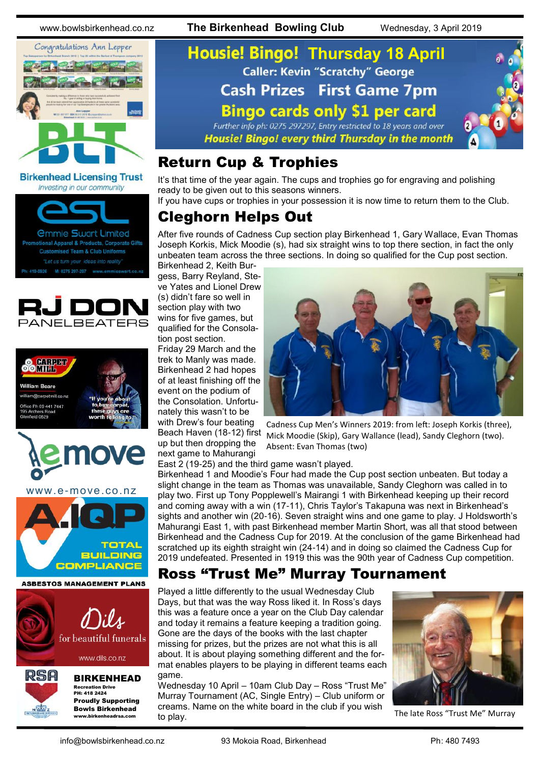www.bowlsbirkenhead.co.nz **The Birkenhead Bowling Club** Wednesday, 3 April 2019



**Birkenhead Licensing Trust** Investing in our community



onal Apparel & Products, Corporate Gifts **Customised Team & Club Uniforms** 







www.e-move.co.nz





www.dils.co.nz



#### BIRKENHEAD

Recreation Drive PH: 418 2424 Proudly Supporting Bowls Birkenhead www.birkenheadrsa.com

**Housie! Bingo! Thursday 18 April Caller: Kevin "Scratchy" George Cash Prizes First Game 7pm Bingo cards only \$1 per card** Further info ph: 0275 297297, Entry restricted to 18 years and over

Housie! Bingo! every third Thursday in the month

#### Return Cup & Trophies

It's that time of the year again. The cups and trophies go for engraving and polishing ready to be given out to this seasons winners.

If you have cups or trophies in your possession it is now time to return them to the Club.

## Cleghorn Helps Out

After five rounds of Cadness Cup section play Birkenhead 1, Gary Wallace, Evan Thomas Joseph Korkis, Mick Moodie (s), had six straight wins to top there section, in fact the only unbeaten team across the three sections. In doing so qualified for the Cup post section.

Birkenhead 2, Keith Burgess, Barry Reyland, Steve Yates and Lionel Drew (s) didn't fare so well in section play with two wins for five games, but qualified for the Consola-

tion post section. Friday 29 March and the trek to Manly was made. Birkenhead 2 had hopes of at least finishing off the event on the podium of the Consolation. Unfortunately this wasn't to be with Drew's four beating up but then dropping the next game to Mahurangi



Beach Haven (18-12) first Mick Moodie (Skip), Gary Wallance (lead), Sandy Cleghorn (two). Cadness Cup Men's Winners 2019: from left: Joseph Korkis (three), Absent: Evan Thomas (two)

East 2 (19-25) and the third game wasn't played.

Birkenhead 1 and Moodie's Four had made the Cup post section unbeaten. But today a slight change in the team as Thomas was unavailable, Sandy Cleghorn was called in to play two. First up Tony Popplewell's Mairangi 1 with Birkenhead keeping up their record and coming away with a win (17-11), Chris Taylor's Takapuna was next in Birkenhead's sights and another win (20-16). Seven straight wins and one game to play. J Holdsworth's Mahurangi East 1, with past Birkenhead member Martin Short, was all that stood between Birkenhead and the Cadness Cup for 2019. At the conclusion of the game Birkenhead had scratched up its eighth straight win (24-14) and in doing so claimed the Cadness Cup for 2019 undefeated. Presented in 1919 this was the 90th year of Cadness Cup competition.

#### Ross "Trust Me" Murray Tournament

Played a little differently to the usual Wednesday Club Days, but that was the way Ross liked it. In Ross's days this was a feature once a year on the Club Day calendar and today it remains a feature keeping a tradition going. Gone are the days of the books with the last chapter missing for prizes, but the prizes are not what this is all about. It is about playing something different and the format enables players to be playing in different teams each game.

Wednesday 10 April – 10am Club Day – Ross "Trust Me" Murray Tournament (AC, Single Entry) – Club uniform or creams. Name on the white board in the club if you wish to play.<br>The late Ross "Trust Me" Murray to play.

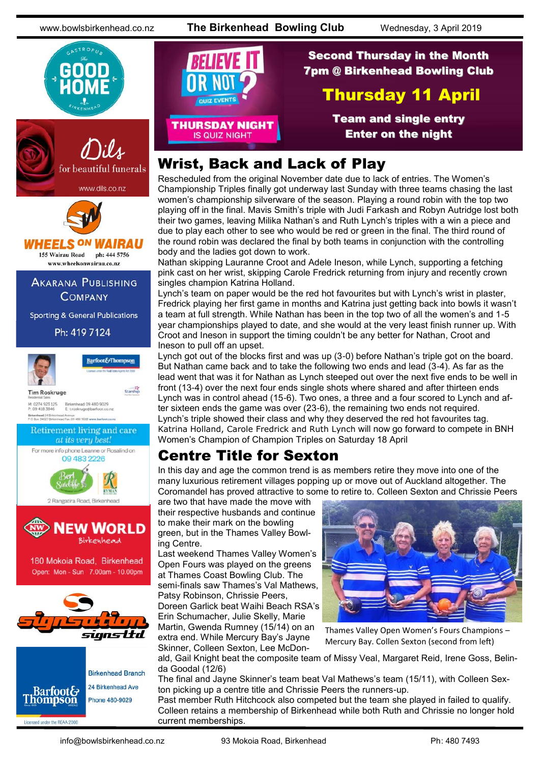www.bowlsbirkenhead.co.nz **The Birkenhead Bowling Club** Wednesday, 3 April 2019



for beautiful funerals





155 Wairau Road ph: 444 5756 www.wheelsonwairau.co.nz

**AKARANA PUBLISHING COMPANY** 

**Sporting & General Publications** 

Ph: 419 7124



**Barfoot&Thompson** 

Starship

**Tim Roskruge** 

M: 0274 923 125<br>P: 09 418 3846 Birkenhead 09 480 9029<br>E: troskruge@barfoot.co.nz **Birkenhead 24 Briter**<br>P Q Bos 34027 Birker Avenue<br>Fax. 09 480 901E www.ba





180 Mokoia Road, Birkenhead Open: Mon - Sun 7.00am - 10.00pm





Licensed under the REAA 2008



#### Second Thursday in the Month 7pm @ Birkenhead Bowling Club

# Thursday 11 April

Team and single entry Enter on the night

# Wrist, Back and Lack of Play

Rescheduled from the original November date due to lack of entries. The Women's Championship Triples finally got underway last Sunday with three teams chasing the last women's championship silverware of the season. Playing a round robin with the top two playing off in the final. Mavis Smith's triple with Judi Farkash and Robyn Autridge lost both their two games, leaving Milika Nathan's and Ruth Lynch's triples with a win a piece and due to play each other to see who would be red or green in the final. The third round of the round robin was declared the final by both teams in conjunction with the controlling body and the ladies got down to work.

Nathan skipping Lauranne Croot and Adele Ineson, while Lynch, supporting a fetching pink cast on her wrist, skipping Carole Fredrick returning from injury and recently crown singles champion Katrina Holland.

Lynch's team on paper would be the red hot favourites but with Lynch's wrist in plaster, Fredrick playing her first game in months and Katrina just getting back into bowls it wasn't a team at full strength. While Nathan has been in the top two of all the women's and 1-5 year championships played to date, and she would at the very least finish runner up. With Croot and Ineson in support the timing couldn't be any better for Nathan, Croot and Ineson to pull off an upset.

Lynch got out of the blocks first and was up (3-0) before Nathan's triple got on the board. But Nathan came back and to take the following two ends and lead (3-4). As far as the lead went that was it for Nathan as Lynch steeped out over the next five ends to be well in front (13-4) over the next four ends single shots where shared and after thirteen ends Lynch was in control ahead (15-6). Two ones, a three and a four scored to Lynch and after sixteen ends the game was over (23-6), the remaining two ends not required. Lynch's triple showed their class and why they deserved the red hot favourites tag. Katrina Holland, Carole Fredrick and Ruth Lynch will now go forward to compete in BNH Women's Champion of Champion Triples on Saturday 18 April

## Centre Title for Sexton

In this day and age the common trend is as members retire they move into one of the many luxurious retirement villages popping up or move out of Auckland altogether. The Coromandel has proved attractive to some to retire to. Colleen Sexton and Chrissie Peers

are two that have made the move with their respective husbands and continue to make their mark on the bowling green, but in the Thames Valley Bowling Centre.

Last weekend Thames Valley Women's Open Fours was played on the greens at Thames Coast Bowling Club. The semi-finals saw Thames's Val Mathews, Patsy Robinson, Chrissie Peers, Doreen Garlick beat Waihi Beach RSA's

Erin Schumacher, Julie Skelly, Marie Martin, Gwenda Rumney (15/14) on an extra end. While Mercury Bay's Jayne



Thames Valley Open Women's Fours Champions – Mercury Bay. Collen Sexton (second from left)

Skinner, Colleen Sexton, Lee McDonald, Gail Knight beat the composite team of Missy Veal, Margaret Reid, Irene Goss, Belinda Goodal (12/6)

The final and Jayne Skinner's team beat Val Mathews's team (15/11), with Colleen Sexton picking up a centre title and Chrissie Peers the runners-up.

Past member Ruth Hitchcock also competed but the team she played in failed to qualify. Colleen retains a membership of Birkenhead while both Ruth and Chrissie no longer hold current memberships.